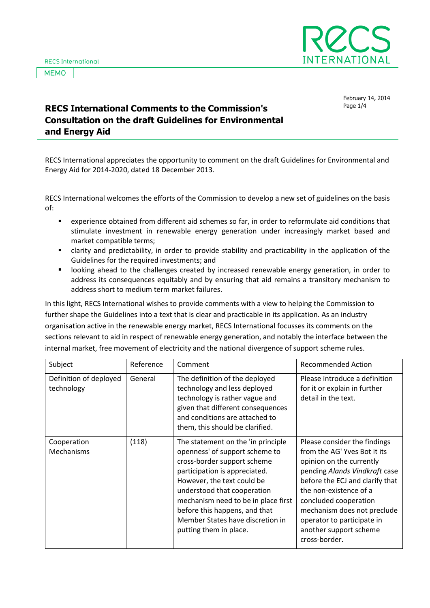**MEMO** 



February 14, 2014

## Page 1/4 **RECS International Comments to the Commission's Consultation on the draft Guidelines for Environmental and Energy Aid**

RECS International appreciates the opportunity to comment on the draft Guidelines for Environmental and Energy Aid for 2014-2020, dated 18 December 2013.

RECS International welcomes the efforts of the Commission to develop a new set of guidelines on the basis of:

- experience obtained from different aid schemes so far, in order to reformulate aid conditions that stimulate investment in renewable energy generation under increasingly market based and market compatible terms;
- clarity and predictability, in order to provide stability and practicability in the application of the Guidelines for the required investments; and
- looking ahead to the challenges created by increased renewable energy generation, in order to address its consequences equitably and by ensuring that aid remains a transitory mechanism to address short to medium term market failures.

In this light, RECS International wishes to provide comments with a view to helping the Commission to further shape the Guidelines into a text that is clear and practicable in its application. As an industry organisation active in the renewable energy market, RECS International focusses its comments on the sections relevant to aid in respect of renewable energy generation, and notably the interface between the internal market, free movement of electricity and the national divergence of support scheme rules.

| Subject                              | Reference | Comment                                                                                                                                                                                                                                                                                                                                 | <b>Recommended Action</b>                                                                                                                                                                                                                                                                                               |
|--------------------------------------|-----------|-----------------------------------------------------------------------------------------------------------------------------------------------------------------------------------------------------------------------------------------------------------------------------------------------------------------------------------------|-------------------------------------------------------------------------------------------------------------------------------------------------------------------------------------------------------------------------------------------------------------------------------------------------------------------------|
| Definition of deployed<br>technology | General   | The definition of the deployed<br>technology and less deployed<br>technology is rather vague and<br>given that different consequences<br>and conditions are attached to<br>them, this should be clarified.                                                                                                                              | Please introduce a definition<br>for it or explain in further<br>detail in the text.                                                                                                                                                                                                                                    |
| Cooperation<br>Mechanisms            | (118)     | The statement on the 'in principle<br>openness' of support scheme to<br>cross-border support scheme<br>participation is appreciated.<br>However, the text could be<br>understood that cooperation<br>mechanism need to be in place first<br>before this happens, and that<br>Member States have discretion in<br>putting them in place. | Please consider the findings<br>from the AG' Yves Bot it its<br>opinion on the currently<br>pending Alands Vindkraft case<br>before the ECJ and clarify that<br>the non-existence of a<br>concluded cooperation<br>mechanism does not preclude<br>operator to participate in<br>another support scheme<br>cross-border. |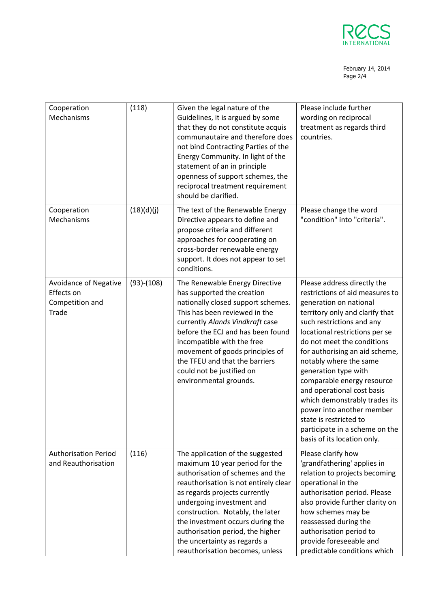

## February 14, 2014 Page 2/4

| Cooperation<br>Mechanisms                                       | (118)        | Given the legal nature of the<br>Guidelines, it is argued by some<br>that they do not constitute acquis<br>communautaire and therefore does<br>not bind Contracting Parties of the<br>Energy Community. In light of the<br>statement of an in principle<br>openness of support schemes, the<br>reciprocal treatment requirement<br>should be clarified.                                      | Please include further<br>wording on reciprocal<br>treatment as regards third<br>countries.                                                                                                                                                                                                                                                                                                                                                                                                                                       |
|-----------------------------------------------------------------|--------------|----------------------------------------------------------------------------------------------------------------------------------------------------------------------------------------------------------------------------------------------------------------------------------------------------------------------------------------------------------------------------------------------|-----------------------------------------------------------------------------------------------------------------------------------------------------------------------------------------------------------------------------------------------------------------------------------------------------------------------------------------------------------------------------------------------------------------------------------------------------------------------------------------------------------------------------------|
| Cooperation<br>Mechanisms                                       | (18)(d)(j)   | The text of the Renewable Energy<br>Directive appears to define and<br>propose criteria and different<br>approaches for cooperating on<br>cross-border renewable energy<br>support. It does not appear to set<br>conditions.                                                                                                                                                                 | Please change the word<br>"condition" into "criteria".                                                                                                                                                                                                                                                                                                                                                                                                                                                                            |
| Avoidance of Negative<br>Effects on<br>Competition and<br>Trade | $(93)-(108)$ | The Renewable Energy Directive<br>has supported the creation<br>nationally closed support schemes.<br>This has been reviewed in the<br>currently Alands Vindkraft case<br>before the ECJ and has been found<br>incompatible with the free<br>movement of goods principles of<br>the TFEU and that the barriers<br>could not be justified on<br>environmental grounds.                        | Please address directly the<br>restrictions of aid measures to<br>generation on national<br>territory only and clarify that<br>such restrictions and any<br>locational restrictions per se<br>do not meet the conditions<br>for authorising an aid scheme,<br>notably where the same<br>generation type with<br>comparable energy resource<br>and operational cost basis<br>which demonstrably trades its<br>power into another member<br>state is restricted to<br>participate in a scheme on the<br>basis of its location only. |
| <b>Authorisation Period</b><br>and Reauthorisation              | (116)        | The application of the suggested<br>maximum 10 year period for the<br>authorisation of schemes and the<br>reauthorisation is not entirely clear<br>as regards projects currently<br>undergoing investment and<br>construction. Notably, the later<br>the investment occurs during the<br>authorisation period, the higher<br>the uncertainty as regards a<br>reauthorisation becomes, unless | Please clarify how<br>'grandfathering' applies in<br>relation to projects becoming<br>operational in the<br>authorisation period. Please<br>also provide further clarity on<br>how schemes may be<br>reassessed during the<br>authorisation period to<br>provide foreseeable and<br>predictable conditions which                                                                                                                                                                                                                  |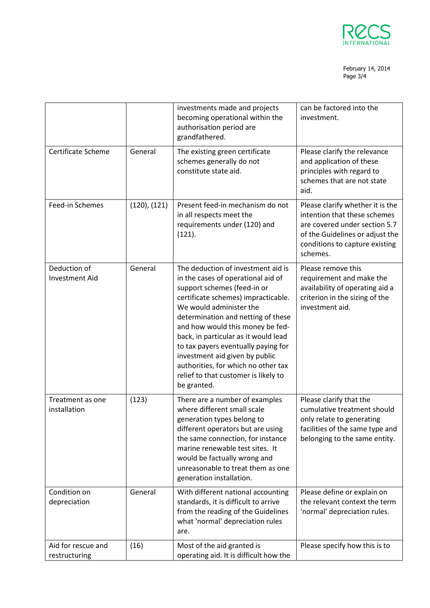

## February 14, 2014 Page 3/4

|                                       |              | investments made and projects<br>becoming operational within the<br>authorisation period are<br>grandfathered.                                                                                                                                                                                                                                                                                                                                                     | can be factored into the<br>investment.                                                                                                                                            |
|---------------------------------------|--------------|--------------------------------------------------------------------------------------------------------------------------------------------------------------------------------------------------------------------------------------------------------------------------------------------------------------------------------------------------------------------------------------------------------------------------------------------------------------------|------------------------------------------------------------------------------------------------------------------------------------------------------------------------------------|
| Certificate Scheme                    | General      | The existing green certificate<br>schemes generally do not<br>constitute state aid.                                                                                                                                                                                                                                                                                                                                                                                | Please clarify the relevance<br>and application of these<br>principles with regard to<br>schemes that are not state<br>aid.                                                        |
| Feed-in Schemes                       | (120), (121) | Present feed-in mechanism do not<br>in all respects meet the<br>requirements under (120) and<br>(121).                                                                                                                                                                                                                                                                                                                                                             | Please clarify whether it is the<br>intention that these schemes<br>are covered under section 5.7<br>of the Guidelines or adjust the<br>conditions to capture existing<br>schemes. |
| Deduction of<br><b>Investment Aid</b> | General      | The deduction of investment aid is<br>in the cases of operational aid of<br>support schemes (feed-in or<br>certificate schemes) impracticable.<br>We would administer the<br>determination and netting of these<br>and how would this money be fed-<br>back, in particular as it would lead<br>to tax payers eventually paying for<br>investment aid given by public<br>authorities, for which no other tax<br>relief to that customer is likely to<br>be granted. | Please remove this<br>requirement and make the<br>availability of operating aid a<br>criterion in the sizing of the<br>investment aid.                                             |
| Treatment as one<br>installation      | (123)        | There are a number of examples<br>where different small scale<br>generation types belong to<br>different operators but are using<br>the same connection, for instance<br>marine renewable test sites. It<br>would be factually wrong and<br>unreasonable to treat them as one<br>generation installation.                                                                                                                                                          | Please clarify that the<br>cumulative treatment should<br>only relate to generating<br>facilities of the same type and<br>belonging to the same entity.                            |
| Condition on<br>depreciation          | General      | With different national accounting<br>standards, it is difficult to arrive<br>from the reading of the Guidelines<br>what 'normal' depreciation rules<br>are.                                                                                                                                                                                                                                                                                                       | Please define or explain on<br>the relevant context the term<br>'normal' depreciation rules.                                                                                       |
| Aid for rescue and<br>restructuring   | (16)         | Most of the aid granted is<br>operating aid. It is difficult how the                                                                                                                                                                                                                                                                                                                                                                                               | Please specify how this is to                                                                                                                                                      |